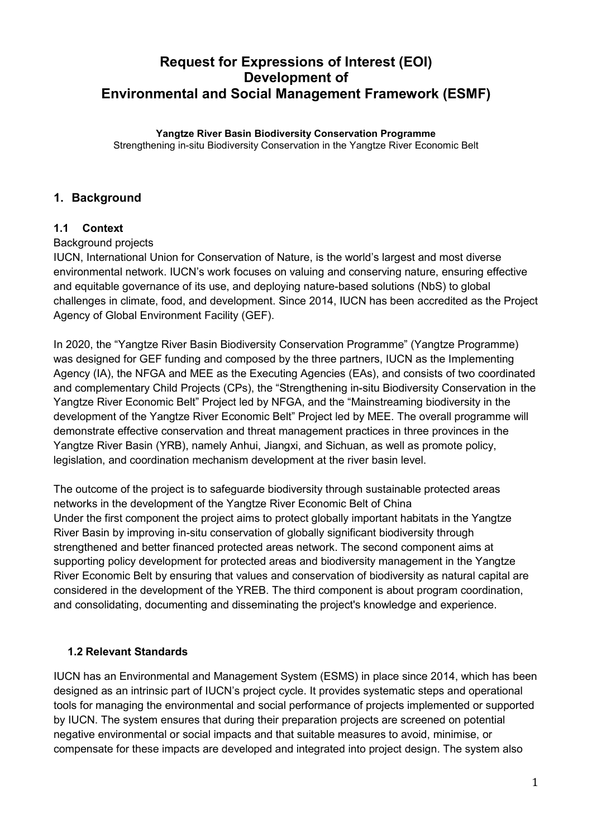# **Request for Expressions of Interest (EOI) Development of Environmental and Social Management Framework (ESMF)**

#### **Yangtze River Basin Biodiversity Conservation Programme**

Strengthening in-situ Biodiversity Conservation in the Yangtze River Economic Belt

### **1. Background**

### **1.1 Context**

Background projects

IUCN, International Union for Conservation of Nature, is the world's largest and most diverse environmental network. IUCN's work focuses on valuing and conserving nature, ensuring effective and equitable governance of its use, and deploying nature-based solutions (NbS) to global challenges in climate, food, and development. Since 2014, IUCN has been accredited as the Project Agency of Global Environment Facility (GEF).

In 2020, the "Yangtze River Basin Biodiversity Conservation Programme" (Yangtze Programme) was designed for GEF funding and composed by the three partners, IUCN as the Implementing Agency (IA), the NFGA and MEE as the Executing Agencies (EAs), and consists of two coordinated and complementary Child Projects (CPs), the "Strengthening in-situ Biodiversity Conservation in the Yangtze River Economic Belt" Project led by NFGA, and the "Mainstreaming biodiversity in the development of the Yangtze River Economic Belt" Project led by MEE. The overall programme will demonstrate effective conservation and threat management practices in three provinces in the Yangtze River Basin (YRB), namely Anhui, Jiangxi, and Sichuan, as well as promote policy, legislation, and coordination mechanism development at the river basin level.

The outcome of the project is to safeguarde biodiversity through sustainable protected areas networks in the development of the Yangtze River Economic Belt of China Under the first component the project aims to protect globally important habitats in the Yangtze River Basin by improving in-situ conservation of globally significant biodiversity through strengthened and better financed protected areas network. The second component aims at supporting policy development for protected areas and biodiversity management in the Yangtze River Economic Belt by ensuring that values and conservation of biodiversity as natural capital are considered in the development of the YREB. The third component is about program coordination, and consolidating, documenting and disseminating the project's knowledge and experience.

### **1.2 Relevant Standards**

IUCN has an Environmental and Management System (ESMS) in place since 2014, which has been designed as an intrinsic part of IUCN's project cycle. It provides systematic steps and operational tools for managing the environmental and social performance of projects implemented or supported by IUCN. The system ensures that during their preparation projects are screened on potential negative environmental or social impacts and that suitable measures to avoid, minimise, or compensate for these impacts are developed and integrated into project design. The system also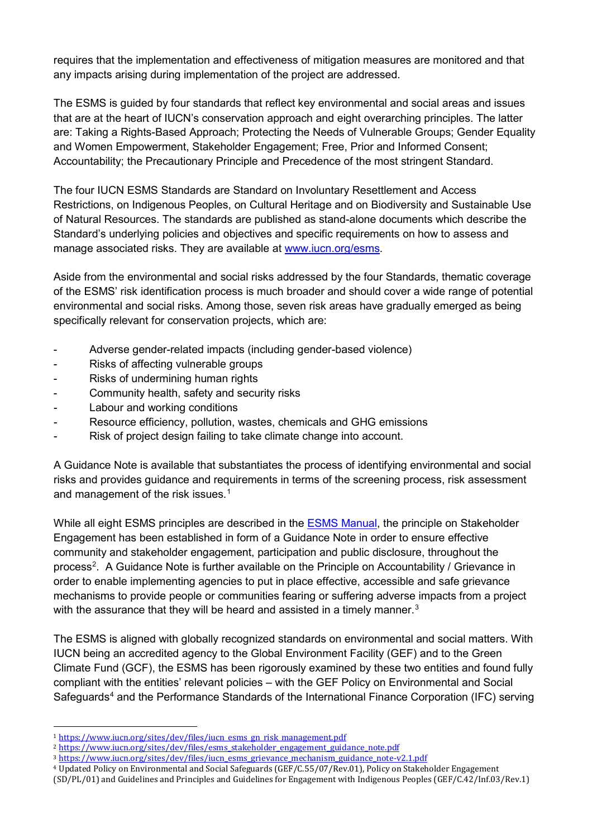requires that the implementation and effectiveness of mitigation measures are monitored and that any impacts arising during implementation of the project are addressed.

The ESMS is guided by four standards that reflect key environmental and social areas and issues that are at the heart of IUCN's conservation approach and eight overarching principles. The latter are: Taking a Rights-Based Approach; Protecting the Needs of Vulnerable Groups; Gender Equality and Women Empowerment, Stakeholder Engagement; Free, Prior and Informed Consent; Accountability; the Precautionary Principle and Precedence of the most stringent Standard.

The four IUCN ESMS Standards are Standard on Involuntary Resettlement and Access Restrictions, on Indigenous Peoples, on Cultural Heritage and on Biodiversity and Sustainable Use of Natural Resources. The standards are published as stand-alone documents which describe the Standard's underlying policies and objectives and specific requirements on how to assess and manage associated risks. They are available at [www.iucn.org/esms.](http://www.iucn.org/esms)

Aside from the environmental and social risks addressed by the four Standards, thematic coverage of the ESMS' risk identification process is much broader and should cover a wide range of potential environmental and social risks. Among those, seven risk areas have gradually emerged as being specifically relevant for conservation projects, which are:

- Adverse gender-related impacts (including gender-based violence)
- Risks of affecting vulnerable groups
- Risks of undermining human rights
- Community health, safety and security risks
- Labour and working conditions
- Resource efficiency, pollution, wastes, chemicals and GHG emissions
- Risk of project design failing to take climate change into account.

A Guidance Note is available that substantiates the process of identifying environmental and social risks and provides guidance and requirements in terms of the screening process, risk assessment and management of the risk issues.<sup>[1](#page-1-0)</sup>

While all eight ESMS principles are described in the [ESMS Manual,](https://www.iucn.org/sites/dev/files/iucn_esms_manual.pdf) the principle on Stakeholder Engagement has been established in form of a Guidance Note in order to ensure effective community and stakeholder engagement, participation and public disclosure, throughout the process<sup>[2](#page-1-1)</sup>. A Guidance Note is further available on the Principle on Accountability / Grievance in order to enable implementing agencies to put in place effective, accessible and safe grievance mechanisms to provide people or communities fearing or suffering adverse impacts from a project with the assurance that they will be heard and assisted in a timely manner. $^3$  $^3$ 

The ESMS is aligned with globally recognized standards on environmental and social matters. With IUCN being an accredited agency to the Global Environment Facility (GEF) and to the Green Climate Fund (GCF), the ESMS has been rigorously examined by these two entities and found fully compliant with the entities' relevant policies – with the GEF Policy on Environmental and Social Safeguards<sup>[4](#page-1-3)</sup> and the Performance Standards of the International Finance Corporation (IFC) serving

<span id="page-1-3"></span><sup>4</sup> Updated Policy on Environmental and Social Safeguards (GEF/C.55/07/Rev.01), Policy on Stakeholder Engagement (SD/PL/01) and Guidelines and Principles and Guidelines for Engagement with Indigenous Peoples (GEF/C.42/Inf.03/Rev.1)

<span id="page-1-0"></span> <sup>1</sup> [https://www.iucn.org/sites/dev/files/iucn\\_esms\\_gn\\_risk\\_management.pdf](https://www.iucn.org/sites/dev/files/iucn_esms_gn_risk_management.pdf)

<span id="page-1-1"></span><sup>&</sup>lt;sup>2</sup> [https://www.iucn.org/sites/dev/files/esms\\_stakeholder\\_engagement\\_guidance\\_note.pdf](https://www.iucn.org/sites/dev/files/esms_stakeholder_engagement_guidance_note.pdf)

<span id="page-1-2"></span><sup>3</sup> [https://www.iucn.org/sites/dev/files/iucn\\_esms\\_grievance\\_mechanism\\_guidance\\_note-v2.1.pdf](https://www.iucn.org/sites/dev/files/iucn_esms_grievance_mechanism_guidance_note-v2.1.pdf)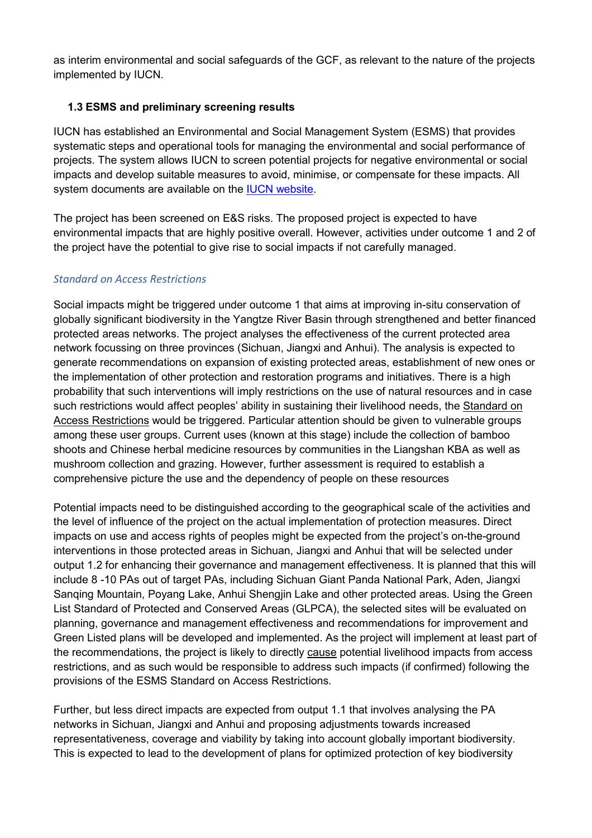as interim environmental and social safeguards of the GCF, as relevant to the nature of the projects implemented by IUCN.

### **1.3 ESMS and preliminary screening results**

IUCN has established an Environmental and Social Management System (ESMS) that provides systematic steps and operational tools for managing the environmental and social performance of projects. The system allows IUCN to screen potential projects for negative environmental or social impacts and develop suitable measures to avoid, minimise, or compensate for these impacts. All system documents are available on the [IUCN website.](http://www.iucn.org/esms/)

The project has been screened on E&S risks. The proposed project is expected to have environmental impacts that are highly positive overall. However, activities under outcome 1 and 2 of the project have the potential to give rise to social impacts if not carefully managed.

### *Standard on Access Restrictions*

Social impacts might be triggered under outcome 1 that aims at improving in-situ conservation of globally significant biodiversity in the Yangtze River Basin through strengthened and better financed protected areas networks. The project analyses the effectiveness of the current protected area network focussing on three provinces (Sichuan, Jiangxi and Anhui). The analysis is expected to generate recommendations on expansion of existing protected areas, establishment of new ones or the implementation of other protection and restoration programs and initiatives. There is a high probability that such interventions will imply restrictions on the use of natural resources and in case such restrictions would affect peoples' ability in sustaining their livelihood needs, the Standard on Access Restrictions would be triggered. Particular attention should be given to vulnerable groups among these user groups. Current uses (known at this stage) include the collection of bamboo shoots and Chinese herbal medicine resources by communities in the Liangshan KBA as well as mushroom collection and grazing. However, further assessment is required to establish a comprehensive picture the use and the dependency of people on these resources

Potential impacts need to be distinguished according to the geographical scale of the activities and the level of influence of the project on the actual implementation of protection measures. Direct impacts on use and access rights of peoples might be expected from the project's on-the-ground interventions in those protected areas in Sichuan, Jiangxi and Anhui that will be selected under output 1.2 for enhancing their governance and management effectiveness. It is planned that this will include 8 -10 PAs out of target PAs, including Sichuan Giant Panda National Park, Aden, Jiangxi Sanqing Mountain, Poyang Lake, Anhui Shengjin Lake and other protected areas. Using the Green List Standard of Protected and Conserved Areas (GLPCA), the selected sites will be evaluated on planning, governance and management effectiveness and recommendations for improvement and Green Listed plans will be developed and implemented. As the project will implement at least part of the recommendations, the project is likely to directly cause potential livelihood impacts from access restrictions, and as such would be responsible to address such impacts (if confirmed) following the provisions of the ESMS Standard on Access Restrictions.

Further, but less direct impacts are expected from output 1.1 that involves analysing the PA networks in Sichuan, Jiangxi and Anhui and proposing adjustments towards increased representativeness, coverage and viability by taking into account globally important biodiversity. This is expected to lead to the development of plans for optimized protection of key biodiversity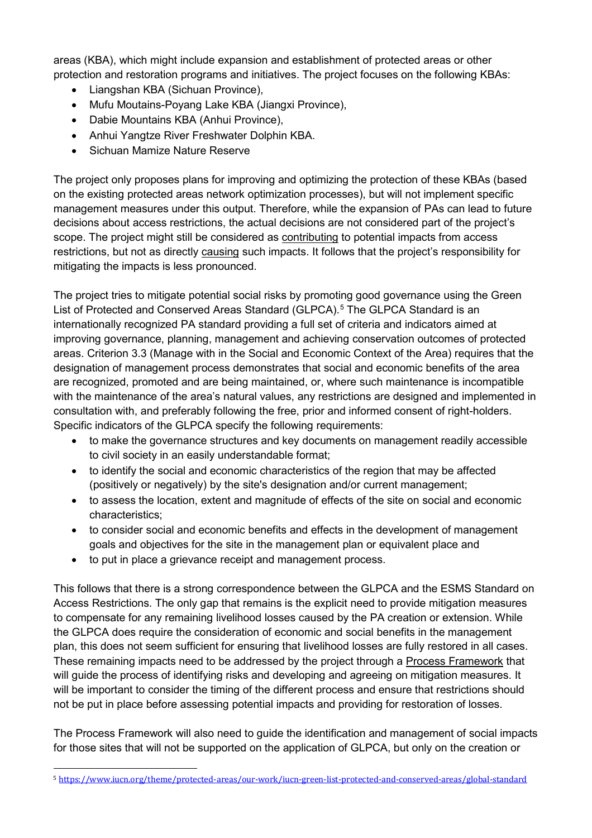areas (KBA), which might include expansion and establishment of protected areas or other protection and restoration programs and initiatives. The project focuses on the following KBAs:

- Liangshan KBA (Sichuan Province),
- Mufu Moutains-Poyang Lake KBA (Jiangxi Province),
- Dabie Mountains KBA (Anhui Province),
- Anhui Yangtze River Freshwater Dolphin KBA.
- Sichuan Mamize Nature Reserve

The project only proposes plans for improving and optimizing the protection of these KBAs (based on the existing protected areas network optimization processes), but will not implement specific management measures under this output. Therefore, while the expansion of PAs can lead to future decisions about access restrictions, the actual decisions are not considered part of the project's scope. The project might still be considered as **contributing** to potential impacts from access restrictions, but not as directly causing such impacts. It follows that the project's responsibility for mitigating the impacts is less pronounced.

The project tries to mitigate potential social risks by promoting good governance using the Green List of Protected and Conserved Areas Standard (GLPCA).<sup>[5](#page-3-0)</sup> The GLPCA Standard is an internationally recognized PA standard providing a full set of criteria and indicators aimed at improving governance, planning, management and achieving conservation outcomes of protected areas. Criterion 3.3 (Manage with in the Social and Economic Context of the Area) requires that the designation of management process demonstrates that social and economic benefits of the area are recognized, promoted and are being maintained, or, where such maintenance is incompatible with the maintenance of the area's natural values, any restrictions are designed and implemented in consultation with, and preferably following the free, prior and informed consent of right-holders. Specific indicators of the GLPCA specify the following requirements:

- to make the governance structures and key documents on management readily accessible to civil society in an easily understandable format;
- to identify the social and economic characteristics of the region that may be affected (positively or negatively) by the site's designation and/or current management;
- to assess the location, extent and magnitude of effects of the site on social and economic characteristics;
- to consider social and economic benefits and effects in the development of management goals and objectives for the site in the management plan or equivalent place and
- to put in place a grievance receipt and management process.

This follows that there is a strong correspondence between the GLPCA and the ESMS Standard on Access Restrictions. The only gap that remains is the explicit need to provide mitigation measures to compensate for any remaining livelihood losses caused by the PA creation or extension. While the GLPCA does require the consideration of economic and social benefits in the management plan, this does not seem sufficient for ensuring that livelihood losses are fully restored in all cases. These remaining impacts need to be addressed by the project through a Process Framework that will guide the process of identifying risks and developing and agreeing on mitigation measures. It will be important to consider the timing of the different process and ensure that restrictions should not be put in place before assessing potential impacts and providing for restoration of losses.

The Process Framework will also need to guide the identification and management of social impacts for those sites that will not be supported on the application of GLPCA, but only on the creation or

<span id="page-3-0"></span> <sup>5</sup> <https://www.iucn.org/theme/protected-areas/our-work/iucn-green-list-protected-and-conserved-areas/global-standard>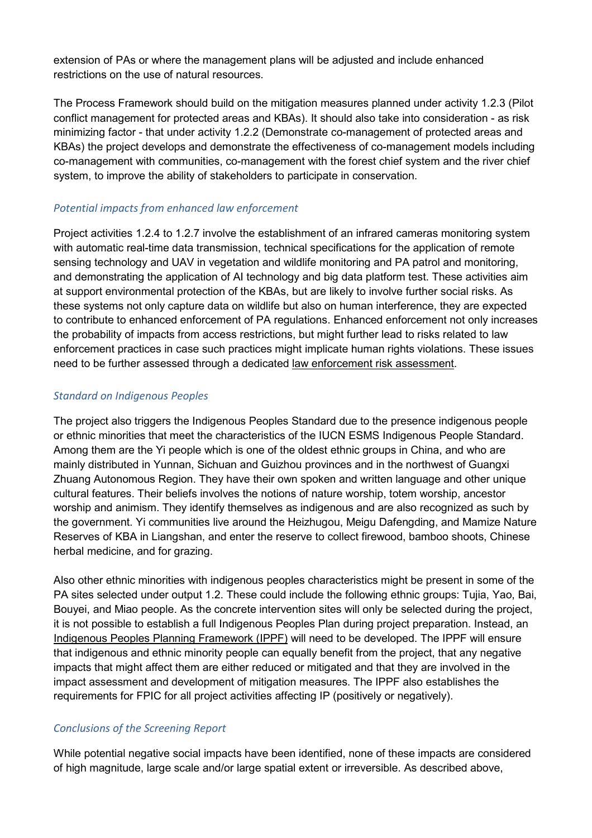extension of PAs or where the management plans will be adjusted and include enhanced restrictions on the use of natural resources.

The Process Framework should build on the mitigation measures planned under activity 1.2.3 (Pilot conflict management for protected areas and KBAs). It should also take into consideration - as risk minimizing factor - that under activity 1.2.2 (Demonstrate co-management of protected areas and KBAs) the project develops and demonstrate the effectiveness of co-management models including co-management with communities, co-management with the forest chief system and the river chief system, to improve the ability of stakeholders to participate in conservation.

#### *Potential impacts from enhanced law enforcement*

Project activities 1.2.4 to 1.2.7 involve the establishment of an infrared cameras monitoring system with automatic real-time data transmission, technical specifications for the application of remote sensing technology and UAV in vegetation and wildlife monitoring and PA patrol and monitoring, and demonstrating the application of AI technology and big data platform test. These activities aim at support environmental protection of the KBAs, but are likely to involve further social risks. As these systems not only capture data on wildlife but also on human interference, they are expected to contribute to enhanced enforcement of PA regulations. Enhanced enforcement not only increases the probability of impacts from access restrictions, but might further lead to risks related to law enforcement practices in case such practices might implicate human rights violations. These issues need to be further assessed through a dedicated law enforcement risk assessment.

#### *Standard on Indigenous Peoples*

The project also triggers the Indigenous Peoples Standard due to the presence indigenous people or ethnic minorities that meet the characteristics of the IUCN ESMS Indigenous People Standard. Among them are the Yi people which is one of the oldest ethnic groups in China, and who are mainly distributed in Yunnan, Sichuan and Guizhou provinces and in the northwest of Guangxi Zhuang Autonomous Region. They have their own spoken and written language and other unique cultural features. Their beliefs involves the notions of nature worship, totem worship, ancestor worship and animism. They identify themselves as indigenous and are also recognized as such by the government. Yi communities live around the Heizhugou, Meigu Dafengding, and Mamize Nature Reserves of KBA in Liangshan, and enter the reserve to collect firewood, bamboo shoots, Chinese herbal medicine, and for grazing.

Also other ethnic minorities with indigenous peoples characteristics might be present in some of the PA sites selected under output 1.2. These could include the following ethnic groups: Tujia, Yao, Bai, Bouyei, and Miao people. As the concrete intervention sites will only be selected during the project, it is not possible to establish a full Indigenous Peoples Plan during project preparation. Instead, an Indigenous Peoples Planning Framework (IPPF) will need to be developed. The IPPF will ensure that indigenous and ethnic minority people can equally benefit from the project, that any negative impacts that might affect them are either reduced or mitigated and that they are involved in the impact assessment and development of mitigation measures. The IPPF also establishes the requirements for FPIC for all project activities affecting IP (positively or negatively).

### *Conclusions of the Screening Report*

While potential negative social impacts have been identified, none of these impacts are considered of high magnitude, large scale and/or large spatial extent or irreversible. As described above,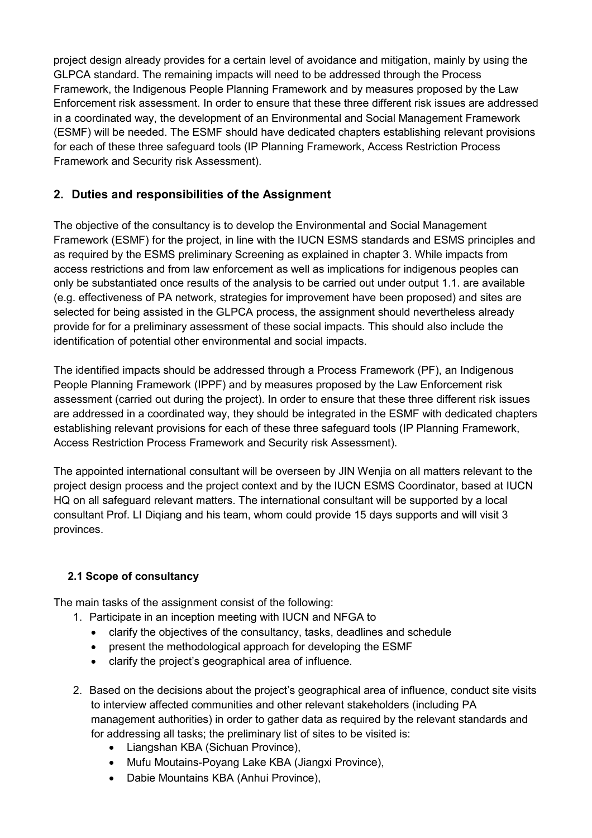project design already provides for a certain level of avoidance and mitigation, mainly by using the GLPCA standard. The remaining impacts will need to be addressed through the Process Framework, the Indigenous People Planning Framework and by measures proposed by the Law Enforcement risk assessment. In order to ensure that these three different risk issues are addressed in a coordinated way, the development of an Environmental and Social Management Framework (ESMF) will be needed. The ESMF should have dedicated chapters establishing relevant provisions for each of these three safeguard tools (IP Planning Framework, Access Restriction Process Framework and Security risk Assessment).

## **2. Duties and responsibilities of the Assignment**

The objective of the consultancy is to develop the Environmental and Social Management Framework (ESMF) for the project, in line with the IUCN ESMS standards and ESMS principles and as required by the ESMS preliminary Screening as explained in chapter 3. While impacts from access restrictions and from law enforcement as well as implications for indigenous peoples can only be substantiated once results of the analysis to be carried out under output 1.1. are available (e.g. effectiveness of PA network, strategies for improvement have been proposed) and sites are selected for being assisted in the GLPCA process, the assignment should nevertheless already provide for for a preliminary assessment of these social impacts. This should also include the identification of potential other environmental and social impacts.

The identified impacts should be addressed through a Process Framework (PF), an Indigenous People Planning Framework (IPPF) and by measures proposed by the Law Enforcement risk assessment (carried out during the project). In order to ensure that these three different risk issues are addressed in a coordinated way, they should be integrated in the ESMF with dedicated chapters establishing relevant provisions for each of these three safeguard tools (IP Planning Framework, Access Restriction Process Framework and Security risk Assessment).

The appointed international consultant will be overseen by JIN Wenjia on all matters relevant to the project design process and the project context and by the IUCN ESMS Coordinator, based at IUCN HQ on all safeguard relevant matters. The international consultant will be supported by a local consultant Prof. LI Diqiang and his team, whom could provide 15 days supports and will visit 3 provinces.

## **2.1 Scope of consultancy**

The main tasks of the assignment consist of the following:

- 1. Participate in an inception meeting with IUCN and NFGA to
	- clarify the objectives of the consultancy, tasks, deadlines and schedule
	- present the methodological approach for developing the ESMF
	- clarify the project's geographical area of influence.
- 2. Based on the decisions about the project's geographical area of influence, conduct site visits to interview affected communities and other relevant stakeholders (including PA management authorities) in order to gather data as required by the relevant standards and for addressing all tasks; the preliminary list of sites to be visited is:
	- Liangshan KBA (Sichuan Province),
	- Mufu Moutains-Poyang Lake KBA (Jiangxi Province),
	- Dabie Mountains KBA (Anhui Province),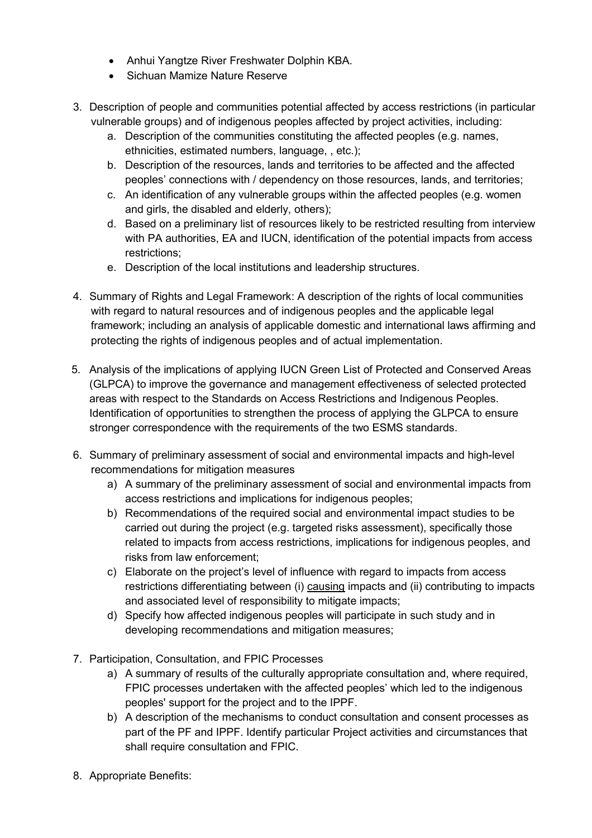- Anhui Yangtze River Freshwater Dolphin KBA.
- Sichuan Mamize Nature Reserve
- 3. Description of people and communities potential affected by access restrictions (in particular vulnerable groups) and of indigenous peoples affected by project activities, including:
	- a. Description of the communities constituting the affected peoples (e.g. names, ethnicities, estimated numbers, language, , etc.);
	- b. Description of the resources, lands and territories to be affected and the affected peoples' connections with / dependency on those resources, lands, and territories;
	- c. An identification of any vulnerable groups within the affected peoples (e.g. women and girls, the disabled and elderly, others);
	- d. Based on a preliminary list of resources likely to be restricted resulting from interview with PA authorities, EA and IUCN, identification of the potential impacts from access restrictions;
	- e. Description of the local institutions and leadership structures.
- 4. Summary of Rights and Legal Framework: A description of the rights of local communities with regard to natural resources and of indigenous peoples and the applicable legal framework; including an analysis of applicable domestic and international laws affirming and protecting the rights of indigenous peoples and of actual implementation.
- 5. Analysis of the implications of applying IUCN Green List of Protected and Conserved Areas (GLPCA) to improve the governance and management effectiveness of selected protected areas with respect to the Standards on Access Restrictions and Indigenous Peoples. Identification of opportunities to strengthen the process of applying the GLPCA to ensure stronger correspondence with the requirements of the two ESMS standards.
- 6. Summary of preliminary assessment of social and environmental impacts and high-level recommendations for mitigation measures
	- a) A summary of the preliminary assessment of social and environmental impacts from access restrictions and implications for indigenous peoples;
	- b) Recommendations of the required social and environmental impact studies to be carried out during the project (e.g. targeted risks assessment), specifically those related to impacts from access restrictions, implications for indigenous peoples, and risks from law enforcement;
	- c) Elaborate on the project's level of influence with regard to impacts from access restrictions differentiating between (i) causing impacts and (ii) contributing to impacts and associated level of responsibility to mitigate impacts;
	- d) Specify how affected indigenous peoples will participate in such study and in developing recommendations and mitigation measures;
- 7. Participation, Consultation, and FPIC Processes
	- a) A summary of results of the culturally appropriate consultation and, where required, FPIC processes undertaken with the affected peoples' which led to the indigenous peoples' support for the project and to the IPPF.
	- b) A description of the mechanisms to conduct consultation and consent processes as part of the PF and IPPF. Identify particular Project activities and circumstances that shall require consultation and FPIC.
- 8. Appropriate Benefits: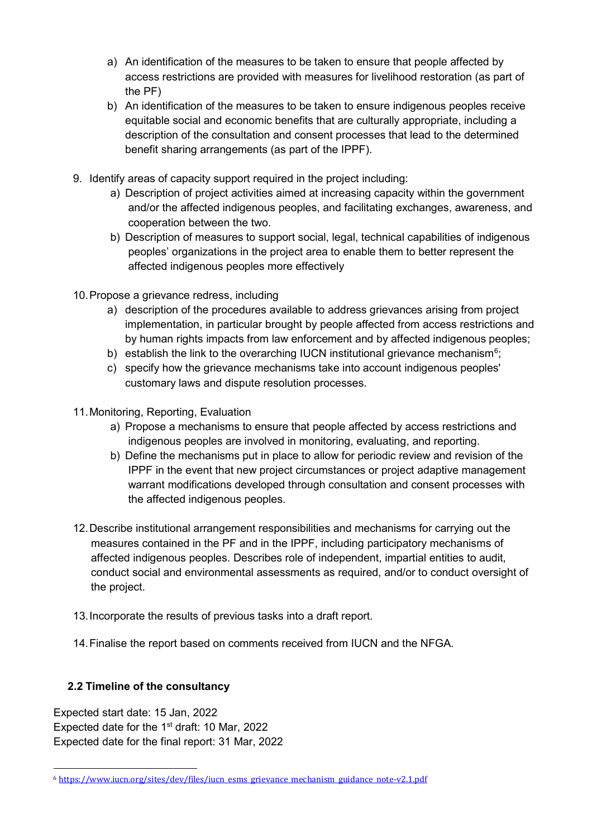- a) An identification of the measures to be taken to ensure that people affected by access restrictions are provided with measures for livelihood restoration (as part of the PF)
- b) An identification of the measures to be taken to ensure indigenous peoples receive equitable social and economic benefits that are culturally appropriate, including a description of the consultation and consent processes that lead to the determined benefit sharing arrangements (as part of the IPPF).
- 9. Identify areas of capacity support required in the project including:
	- a) Description of project activities aimed at increasing capacity within the government and/or the affected indigenous peoples, and facilitating exchanges, awareness, and cooperation between the two.
	- b) Description of measures to support social, legal, technical capabilities of indigenous peoples' organizations in the project area to enable them to better represent the affected indigenous peoples more effectively
- 10.Propose a grievance redress, including
	- a) description of the procedures available to address grievances arising from project implementation, in particular brought by people affected from access restrictions and by human rights impacts from law enforcement and by affected indigenous peoples;
	- b)  $\,$  establish the link to the overarching IUCN institutional grievance mechanism $^6;$  $^6;$  $^6;$
	- c) specify how the grievance mechanisms take into account indigenous peoples' customary laws and dispute resolution processes.
- 11.Monitoring, Reporting, Evaluation
	- a) Propose a mechanisms to ensure that people affected by access restrictions and indigenous peoples are involved in monitoring, evaluating, and reporting.
	- b) Define the mechanisms put in place to allow for periodic review and revision of the IPPF in the event that new project circumstances or project adaptive management warrant modifications developed through consultation and consent processes with the affected indigenous peoples.
- 12.Describe institutional arrangement responsibilities and mechanisms for carrying out the measures contained in the PF and in the IPPF, including participatory mechanisms of affected indigenous peoples. Describes role of independent, impartial entities to audit, conduct social and environmental assessments as required, and/or to conduct oversight of the project.
- 13.Incorporate the results of previous tasks into a draft report.
- 14.Finalise the report based on comments received from IUCN and the NFGA.

## **2.2 Timeline of the consultancy**

Expected start date: 15 Jan, 2022 Expected date for the  $1<sup>st</sup>$  draft: 10 Mar, 2022 Expected date for the final report: 31 Mar, 2022

<span id="page-7-0"></span> <sup>6</sup> [https://www.iucn.org/sites/dev/files/iucn\\_esms\\_grievance\\_mechanism\\_guidance\\_note-v2.1.pdf](https://www.iucn.org/sites/dev/files/iucn_esms_grievance_mechanism_guidance_note-v2.1.pdf)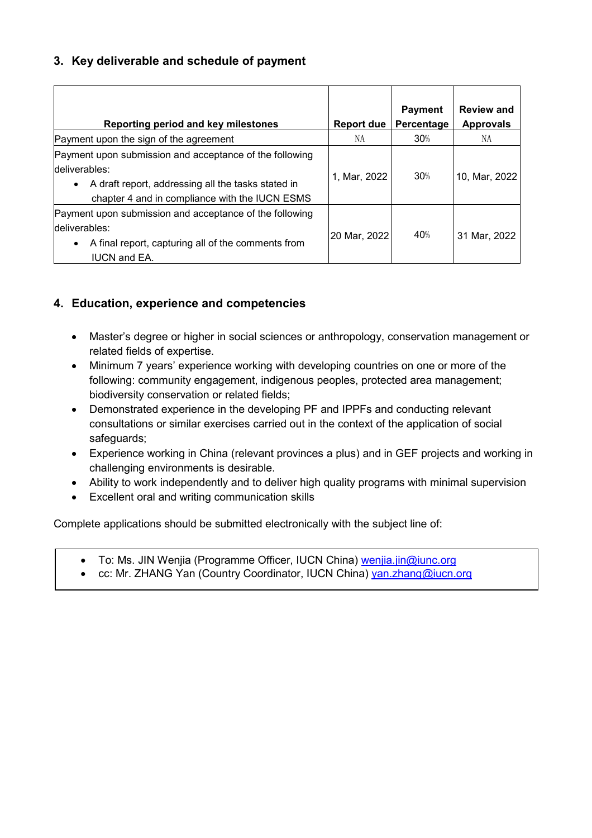## **3. Key deliverable and schedule of payment**

| Reporting period and key milestones                                                                                                                                              | Report due   | <b>Payment</b><br>Percentage | <b>Review and</b><br><b>Approvals</b> |
|----------------------------------------------------------------------------------------------------------------------------------------------------------------------------------|--------------|------------------------------|---------------------------------------|
| Payment upon the sign of the agreement                                                                                                                                           | NА           | 30%                          | NA                                    |
| Payment upon submission and acceptance of the following<br>deliverables:<br>A draft report, addressing all the tasks stated in<br>chapter 4 and in compliance with the IUCN ESMS | 1, Mar, 2022 | 30%                          | 10, Mar, 2022                         |
| Payment upon submission and acceptance of the following<br>deliverables:<br>A final report, capturing all of the comments from<br>$\bullet$<br><b>IUCN and EA.</b>               | 20 Mar, 2022 | 40%                          | 31 Mar, 2022                          |

## **4. Education, experience and competencies**

- Master's degree or higher in social sciences or anthropology, conservation management or related fields of expertise.
- Minimum 7 years' experience working with developing countries on one or more of the following: community engagement, indigenous peoples, protected area management; biodiversity conservation or related fields;
- Demonstrated experience in the developing PF and IPPFs and conducting relevant consultations or similar exercises carried out in the context of the application of social safeguards;
- Experience working in China (relevant provinces a plus) and in GEF projects and working in challenging environments is desirable.
- Ability to work independently and to deliver high quality programs with minimal supervision
- Excellent oral and writing communication skills

Complete applications should be submitted electronically with the subject line of:

- To: Ms. JIN Wenjia (Programme Officer, IUCN China) [wenjia.jin@iunc.org](mailto:wenjia.jin@iunc.org)
- cc: Mr. ZHANG Yan (Country Coordinator, IUCN China) [yan.zhang@iucn.org](mailto:yan.zhang@iucn.org)